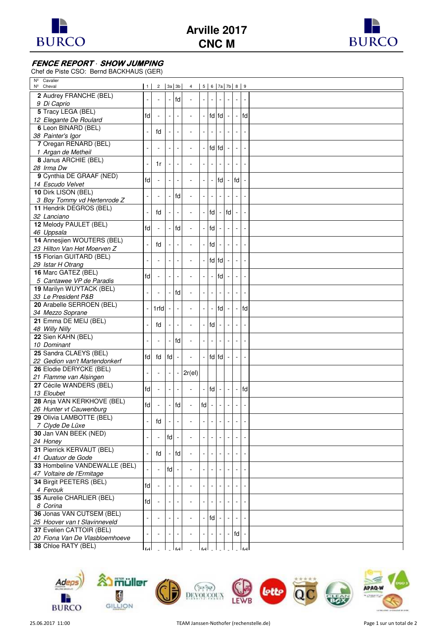

**Arville 2017 CNC M**



## **FENCE REPORT · SHOW JUMPING**

Chef de Piste CSO: Bernd BACKHAUS (GER)

| Cavalier<br>$N^{\circ}$               |                 |        |                          |    |                          |                          |                |                          |                          |                          |                          |  |
|---------------------------------------|-----------------|--------|--------------------------|----|--------------------------|--------------------------|----------------|--------------------------|--------------------------|--------------------------|--------------------------|--|
| Nº Cheval                             | $\vert 1 \vert$ |        |                          |    | 2 3a 3b 4                |                          |                | 567a7b89                 |                          |                          |                          |  |
| 2 Audrey FRANCHE (BEL)                |                 |        |                          | fd | $\sim$                   |                          |                |                          |                          |                          |                          |  |
| 9 Di Caprio                           |                 |        |                          |    |                          |                          |                |                          |                          |                          |                          |  |
| 5 Tracy LEGA (BEL)                    | fd              |        |                          |    |                          |                          |                | fd fd                    |                          | $\overline{\phantom{a}}$ | fd                       |  |
| 12 Elegante De Roulard                |                 |        |                          |    |                          |                          |                |                          |                          |                          |                          |  |
| 6 Leon BINARD (BEL)                   |                 |        |                          |    |                          |                          |                |                          |                          |                          |                          |  |
| 38 Painter's Igor                     |                 | fd     |                          |    |                          |                          |                |                          |                          |                          |                          |  |
| 7 Oregan RENARD (BEL)                 |                 |        |                          |    |                          |                          |                |                          |                          |                          |                          |  |
| 1 Argan de Metheil                    |                 |        |                          |    | ÷,                       |                          |                | fd fd                    |                          |                          |                          |  |
| 8 Janus ARCHIE (BEL)                  |                 |        |                          |    |                          |                          |                |                          |                          |                          |                          |  |
| 28 Irma Dw                            |                 | 1r     |                          |    | $\overline{a}$           |                          |                |                          |                          | $\overline{\phantom{a}}$ |                          |  |
| 9 Cynthia DE GRAAF (NED)              |                 |        |                          |    |                          |                          |                |                          |                          |                          |                          |  |
| 14 Escudo Velvet                      | fd              |        |                          |    | $\overline{a}$           |                          | $\blacksquare$ | fd                       |                          | fd                       |                          |  |
| 10 Dirk LISON (BEL)                   |                 |        |                          |    |                          |                          |                |                          |                          |                          |                          |  |
| 3 Boy Tommy vd Hertenrode Z           |                 |        |                          | fd |                          |                          |                |                          |                          |                          |                          |  |
| 11 Hendrik DEGROS (BEL)               |                 |        |                          |    |                          |                          |                |                          |                          |                          |                          |  |
|                                       |                 | fd     |                          |    | ÷,                       |                          | fd             |                          | fd                       |                          |                          |  |
| 32 Lanciano                           |                 |        |                          |    |                          |                          |                |                          |                          |                          |                          |  |
| 12 Melody PAULET (BEL)                | fd              |        |                          | fd | $\blacksquare$           |                          | fd             |                          |                          |                          |                          |  |
| 46 Uppsala                            |                 |        |                          |    |                          |                          |                |                          |                          |                          |                          |  |
| 14 Annesjien WOUTERS (BEL)            |                 | fd     |                          |    | $\overline{a}$           | $\blacksquare$           | fd             |                          |                          | $\overline{\phantom{a}}$ |                          |  |
| 23 Hilton Van Het Moerven Z           |                 |        |                          |    |                          |                          |                |                          |                          |                          |                          |  |
| 15 Florian GUITARD (BEL)              |                 |        |                          |    | $\overline{a}$           |                          |                | fd fd                    |                          | $\overline{\phantom{a}}$ |                          |  |
| 29 Istar H Otrang                     |                 |        |                          |    |                          |                          |                |                          |                          |                          |                          |  |
| 16 Marc GATEZ (BEL)                   | fd              |        |                          |    | $\overline{a}$           |                          | $\blacksquare$ | fd                       |                          | $\overline{\phantom{a}}$ |                          |  |
| 5 Cantawee VP de Paradis              |                 |        |                          |    |                          |                          |                |                          |                          |                          |                          |  |
| 19 Marilyn WUYTACK (BEL)              |                 |        |                          | fd | $\overline{a}$           |                          |                |                          |                          |                          |                          |  |
| 33 Le President P&B                   |                 |        |                          |    |                          |                          |                |                          |                          |                          |                          |  |
| 20 Arabelle SERROEN (BEL)             |                 | 1rfd   |                          |    | ÷,                       |                          |                | fd                       |                          | $\blacksquare$           | fd                       |  |
| 34 Mezzo Soprane                      |                 |        |                          |    |                          |                          |                |                          |                          |                          |                          |  |
| 21 Emma DE MEIJ (BEL)                 |                 |        |                          |    |                          |                          | fd             |                          |                          |                          |                          |  |
| 48 Willy Nilly                        |                 | fd     |                          |    | $\overline{\phantom{a}}$ | $\overline{\phantom{a}}$ |                |                          |                          | $\blacksquare$           |                          |  |
| 22 Sien KAHN (BEL)                    |                 |        |                          |    |                          |                          |                |                          |                          |                          |                          |  |
| 10 Dominant                           |                 |        |                          | fd | $\sim$                   |                          |                |                          |                          |                          |                          |  |
| 25 Sandra CLAEYS (BEL)                |                 |        |                          |    |                          |                          |                |                          |                          |                          |                          |  |
| 22 Gedion van't Martendonkerf         | fd              | fd     | <b>Ifd</b>               |    | $\overline{a}$           |                          |                | fd fd                    |                          |                          |                          |  |
| 26 Elodie DERYCKE (BEL)               |                 |        |                          |    |                          |                          |                |                          |                          |                          |                          |  |
| 21 Flamme van Alsingen                |                 |        |                          |    | $2r$ (el)                |                          |                |                          |                          |                          |                          |  |
| 27 Cécile WANDERS (BEL)               |                 |        |                          |    |                          |                          |                |                          |                          |                          |                          |  |
| 13 Eloubet                            | fd              | ÷,     |                          |    | ÷,                       |                          | fd             |                          |                          | $\overline{\phantom{a}}$ | fd                       |  |
| 28 Anja VAN KERKHOVE (BEL)            |                 |        |                          |    |                          |                          |                |                          |                          |                          |                          |  |
| 26 Hunter vt Cauwenburg               | fd              | $\sim$ | $\overline{\phantom{a}}$ | fd | $\overline{\phantom{a}}$ | $\mathsf{fd}$ -          |                | $\overline{\phantom{a}}$ | $\overline{\phantom{a}}$ | $\overline{\phantom{a}}$ | $\overline{\phantom{a}}$ |  |
| 29 Olivia LAMBOTTE (BEL)              |                 |        |                          |    |                          |                          |                |                          |                          |                          |                          |  |
| 7 Clyde De Lüxe                       |                 | fd     |                          |    |                          |                          |                |                          |                          |                          |                          |  |
| 30 Jan VAN BEEK (NED)                 |                 |        |                          |    |                          |                          |                |                          |                          |                          |                          |  |
|                                       |                 |        | fd                       |    |                          |                          |                |                          |                          |                          |                          |  |
| 24 Honey<br>31 Pierrick KERVAUT (BEL) |                 |        |                          |    |                          |                          |                |                          |                          |                          |                          |  |
|                                       |                 | fd     |                          | fd |                          |                          |                |                          |                          |                          |                          |  |
| 41 Quatuor de Gode                    |                 |        |                          |    |                          |                          |                |                          |                          |                          |                          |  |
| 33 Hombeline VANDEWALLE (BEL)         |                 |        | fd                       |    |                          |                          |                |                          |                          |                          |                          |  |
| 47 Voltaire de l'Ermitage             |                 |        |                          |    |                          |                          |                |                          |                          |                          |                          |  |
| 34 Birgit PEETERS (BEL)               | fd              |        |                          |    |                          |                          |                |                          |                          |                          |                          |  |
| 4 Ferouk                              |                 |        |                          |    |                          |                          |                |                          |                          |                          |                          |  |
| 35 Aurelie CHARLIER (BEL)             | fd              |        |                          |    |                          |                          |                |                          |                          |                          |                          |  |
| 8 Corina                              |                 |        |                          |    |                          |                          |                |                          |                          |                          |                          |  |
| 36 Jonas VAN CUTSEM (BEL)             |                 |        |                          |    |                          |                          | fd             |                          |                          |                          |                          |  |
| 25 Hoover van t Slavinneveld          |                 |        |                          |    |                          |                          |                |                          |                          |                          |                          |  |
| 37 Evelien CATTOIR (BEL)              |                 |        |                          |    |                          |                          |                |                          |                          | $\mathsf{fd}$ -          |                          |  |
| 20 Fiona Van De Vlasbloemhoeve        |                 |        |                          |    |                          |                          |                |                          |                          |                          |                          |  |
| 38 Chloe RATY (BEL)                   | ا ہ ا           |        |                          |    |                          |                          |                |                          |                          |                          |                          |  |
|                                       |                 |        |                          |    |                          |                          |                |                          |                          |                          |                          |  |